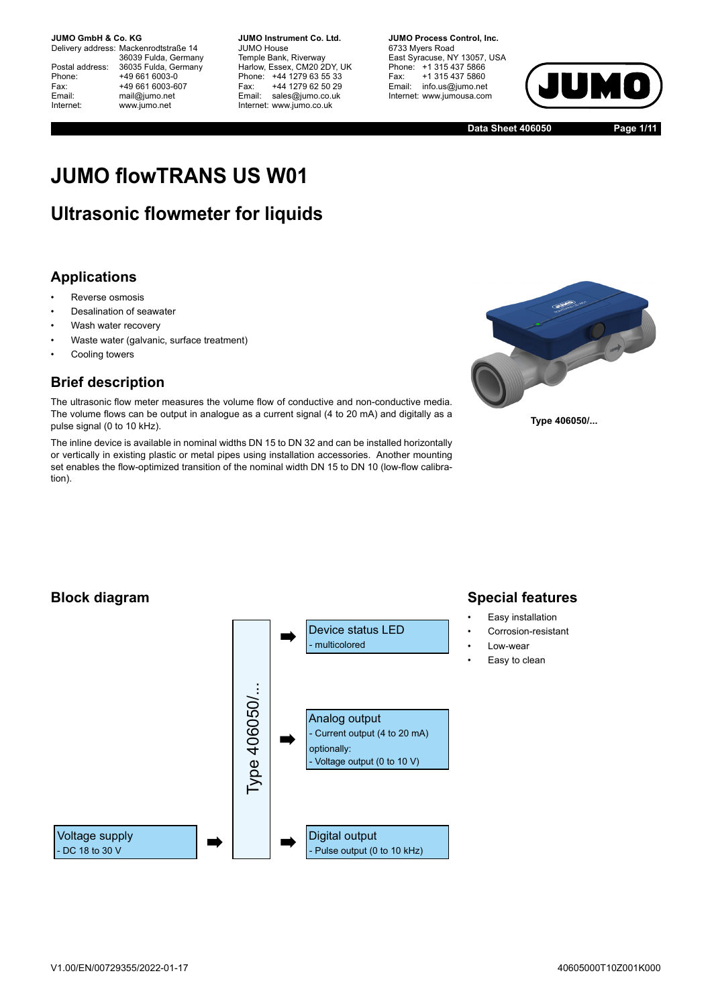Delivery address: Mackenrodtstraße 14 36039 Fulda, Germany Postal address: 36035 Fulda, Germany<br>Phone: +49 661 6003-0 Phone: +49 661 6003-0<br>Fax: +49 661 6003-6 Fax: +49 661 6003-607<br>
Fmail: mail@iumo.net mail@jumo.net Internet: www.jumo.net

**JUMO Instrument Co. Ltd.** JUMO House Temple Bank, Riverway<br>Harlow, Essex, CM20 2DY, UK Phone: +44 1279 63 55 33<br>Fax: +44 1279 62 50 29 +44 1279 62 50 29 Email: sales@jumo.co.uk Internet: www.jumo.co.uk

**JUMO Process Control, Inc.** 6733 Myers Road East Syracuse, NY 13057, USA Phone: +1 315 437 5866<br>Fax: +1 315 437 5860 +1 315 437 5860 Email: info.us@jumo.net Internet: www.jumousa.com



**Data Sheet 406050 Page 1/11**

# **JUMO flowTRANS US W01**

## **Ultrasonic flowmeter for liquids**

## **Applications**

- Reverse osmosis
- Desalination of seawater
- Wash water recovery
- Waste water (galvanic, surface treatment)
- Cooling towers

## **Brief description**

The ultrasonic flow meter measures the volume flow of conductive and non-conductive media. The volume flows can be output in analogue as a current signal (4 to 20 mA) and digitally as a pulse signal (0 to 10 kHz).

The inline device is available in nominal widths DN 15 to DN 32 and can be installed horizontally or vertically in existing plastic or metal pipes using installation accessories. Another mounting set enables the flow-optimized transition of the nominal width DN 15 to DN 10 (low-flow calibration).



**Type 406050/...**

**Special features** • Easy installation • Corrosion-resistant

> Low-wear Easy to clean

## **Block diagram**

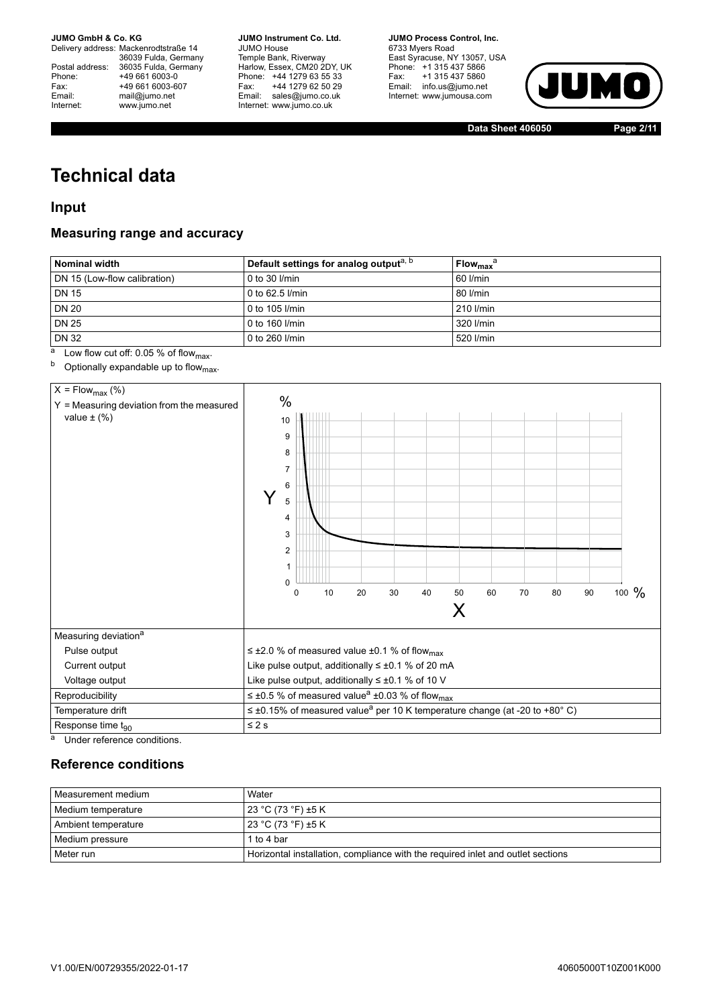Delivery address: Mackenrodtstraße 14 Postal address: 36035 Fulda, Germany<br>Phone: +49 661 6003-0 Phone: +49 661 6003-0<br>
Fax: +49 661 6003-6<br>
Email: mail@iumo.net +49 661 6003-607 mail@jumo.net Internet: www.jumo.net

36039 Fulda, Germany **JUMO Instrument Co. Ltd.** JUMO House Temple Bank, Riverway<br>Harlow, Essex, CM20 2DY, UK Phone: +44 1279 63 55 33<br>Fax: +44 1279 62 50 29 +44 1279 62 50 29 Email: sales@jumo.co.uk Internet: www.jumo.co.uk

**JUMO Process Control, Inc.** 6733 Myers Road East Syracuse, NY 13057, USA Phone: +1 315 437 5866<br>Fax: +1 315 437 5860 +1 315 437 5860 Email: info.us@jumo.net Internet: www.jumousa.com



**Data Sheet 406050 Page 2/11**

# **Technical data**

### **Input**

#### **Measuring range and accuracy**

| Nominal width                | Default settings for analog output <sup>a, b</sup> | $Flow_{max}^a$ |  |  |
|------------------------------|----------------------------------------------------|----------------|--|--|
| DN 15 (Low-flow calibration) | 0 to 30 $I/min$                                    | 60 l/min       |  |  |
| <b>DN 15</b>                 | 0 to 62.5 l/min                                    | 80 l/min       |  |  |
| <b>DN 20</b>                 | 0 to 105 l/min                                     | 210 l/min      |  |  |
| <b>DN 25</b>                 | 0 to 160 l/min                                     | 320 l/min      |  |  |
| <b>DN 32</b>                 | 0 to 260 l/min                                     | 520 l/min      |  |  |

 $a$  Low flow cut off: 0.05 % of flow<sub>max</sub>.

 $b$  Optionally expandable up to flow<sub>max</sub>.



Under reference conditions.

### <span id="page-1-0"></span>**Reference conditions**

| Measurement medium    | Water                                                                           |
|-----------------------|---------------------------------------------------------------------------------|
| Medium temperature    | 23 °C (73 °F) ±5 K                                                              |
| l Ambient temperature | 23 °C (73 °F) ±5 K                                                              |
| Medium pressure       | 1 to 4 bar                                                                      |
| Meter run             | Horizontal installation, compliance with the required inlet and outlet sections |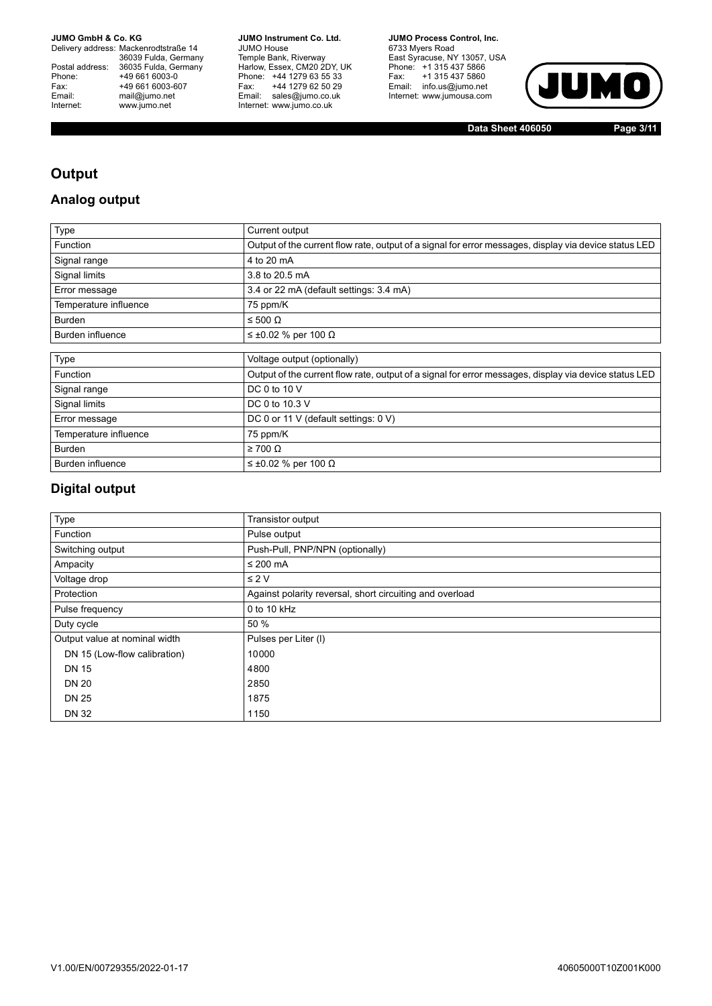Delivery address: Mackenrodtstraße 14 36039 Fulda, Germany<br>Postal address: 36035 Fulda, Germany Phone: +49 661 6003-0<br>
Fax: +49 661 6003-6<br>
Email: mail@jumo.net +49 661 6003-607 Email: mail@jumo.net<br>Internet: www.jumo.net www.jumo.net

**JUMO Instrument Co. Ltd.** JUMO House Temple Bank, Riverway<br>Harlow, Essex, CM20 2DY, UK<br>Phone: +44 1279 63 55 33 Fax: +44 1279 62 50 29<br>Email: sales@jumo.co.uk Internet: www.jumo.co.uk

**JUMO Process Control, Inc.** 6733 Myers Road East Syracuse, NY 13057, USA<br>Phone: +1 315 437 5866<br>Fax: +1 315 437 5860 Email: info.us@jumo.net Internet: www.jumousa.com



**Data Sheet 406050 Page 3/11**

### **Output**

### **Analog output**

| Type                  | Current output                                                                                        |
|-----------------------|-------------------------------------------------------------------------------------------------------|
| Function              | Output of the current flow rate, output of a signal for error messages, display via device status LED |
| Signal range          | 4 to 20 mA                                                                                            |
| Signal limits         | 3.8 to 20.5 mA                                                                                        |
| Error message         | 3.4 or 22 mA (default settings: 3.4 mA)                                                               |
| Temperature influence | 75 ppm/K                                                                                              |
| <b>Burden</b>         | $\leq 500 \Omega$                                                                                     |
| Burden influence      | $\leq \pm 0.02$ % per 100 $\Omega$                                                                    |
|                       |                                                                                                       |
| Type                  | Voltage output (optionally)                                                                           |
| Function              | Output of the current flow rate, output of a signal for error messages, display via device status LED |
| Signal range          | DC 0 to 10 V                                                                                          |
| Signal limits         | DC 0 to 10.3 V                                                                                        |
| Error message         | DC 0 or 11 V (default settings: 0 V)                                                                  |
| Temperature influence | 75 ppm/K                                                                                              |
| <b>Burden</b>         | $\geq 700 \Omega$                                                                                     |
| Burden influence      | $\leq \pm 0.02$ % per 100 $\Omega$                                                                    |

## **Digital output**

| Type                          | Transistor output                                        |
|-------------------------------|----------------------------------------------------------|
| Function                      | Pulse output                                             |
| Switching output              | Push-Pull, PNP/NPN (optionally)                          |
| Ampacity                      | $\leq$ 200 mA                                            |
| Voltage drop                  | $\leq 2$ V                                               |
| Protection                    | Against polarity reversal, short circuiting and overload |
| Pulse frequency               | 0 to 10 $kHz$                                            |
| Duty cycle                    | 50 %                                                     |
| Output value at nominal width | Pulses per Liter (I)                                     |
| DN 15 (Low-flow calibration)  | 10000                                                    |
| <b>DN 15</b>                  | 4800                                                     |
| <b>DN 20</b>                  | 2850                                                     |
| <b>DN 25</b>                  | 1875                                                     |
| <b>DN 32</b>                  | 1150                                                     |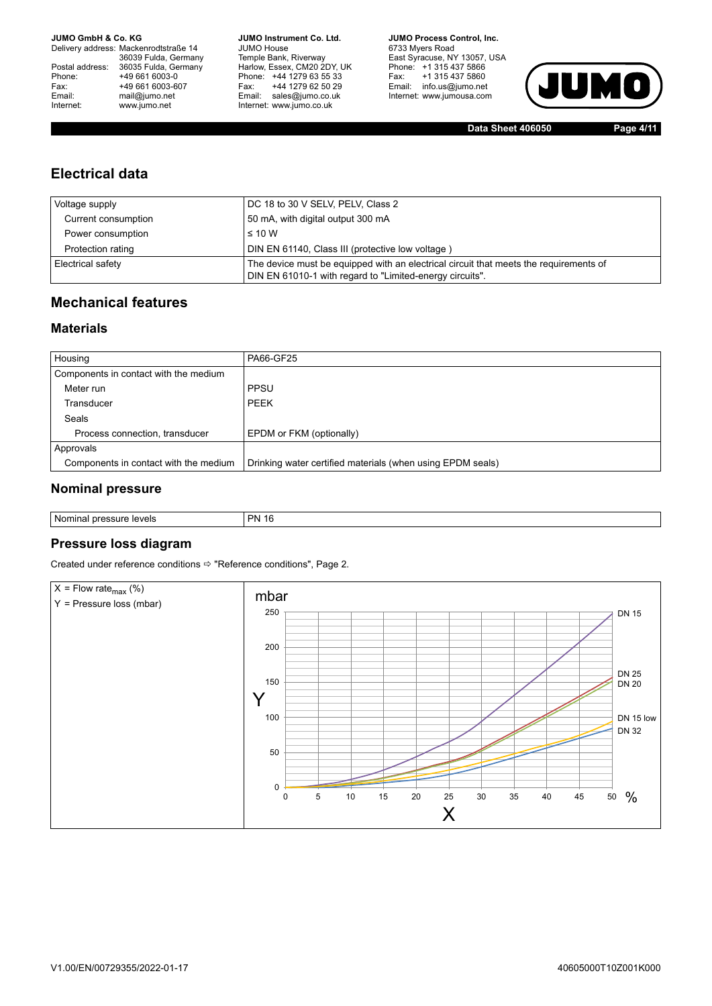Delivery address: Mackenrodtstraße 14 36039 Fulda, Germany<br>Postal address: 36035 Fulda, Germany Phone: +49 661 6003-0<br>
Fax: +49 661 6003-6<br>
Email: mail@jumo.net +49 661 6003-607 mail@jumo.net Internet: www.jumo.net

**JUMO Instrument Co. Ltd.** JUMO House Temple Bank, Riverway<br>Harlow, Essex, CM20 2DY, UK Phone: +44 1279 63 55 33<br>Fax: +44 1279 62 50 29 +44 1279 62 50 29 Email: sales@jumo.co.uk Internet: www.jumo.co.uk

**JUMO Process Control, Inc.** 6733 Myers Road East Syracuse, NY 13057, USA Phone: +1 315 437 5866<br>Fax: +1 315 437 5860 Email: info.us@jumo.net Internet: www.jumousa.com



**Data Sheet 406050 Page 4/11**

## **Electrical data**

| Voltage supply      | DC 18 to 30 V SELV, PELV, Class 2                                                                                                                 |
|---------------------|---------------------------------------------------------------------------------------------------------------------------------------------------|
| Current consumption | 50 mA, with digital output 300 mA                                                                                                                 |
| Power consumption   | $\leq 10$ W                                                                                                                                       |
| Protection rating   | DIN EN 61140, Class III (protective low voltage)                                                                                                  |
| Electrical safety   | The device must be equipped with an electrical circuit that meets the requirements of<br>DIN EN 61010-1 with regard to "Limited-energy circuits". |

## **Mechanical features**

### **Materials**

| Housing                               | PA66-GF25                                                  |
|---------------------------------------|------------------------------------------------------------|
| Components in contact with the medium |                                                            |
| Meter run                             | <b>PPSU</b>                                                |
| Transducer                            | <b>PEEK</b>                                                |
| Seals                                 |                                                            |
| Process connection, transducer        | EPDM or FKM (optionally)                                   |
| Approvals                             |                                                            |
| Components in contact with the medium | Drinking water certified materials (when using EPDM seals) |

### **Nominal pressure**

| Nominal  | <b>PN</b> |
|----------|-----------|
| levels   | AC        |
| pressure | . .       |

#### **Pressure loss diagram**

Created under reference conditions ["Reference conditions](#page-1-0)", Page [2.](#page-1-0)

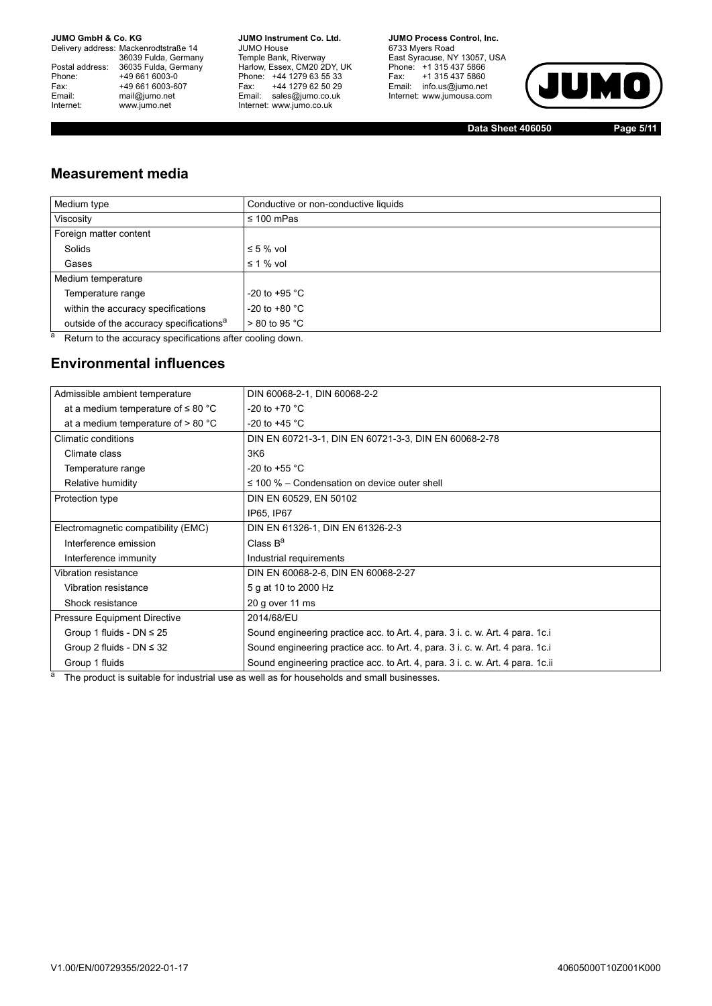Delivery address: Mackenrodtstraße 14 36039 Fulda, Germany<br>Postal address: 36035 Fulda, Germany Phone: +49 661 6003-0<br>
Fax: +49 661 6003-6<br>
Email: mail@jumo.net +49 661 6003-607 Email: mail@jumo.net<br>Internet: www.iumo.net www.jumo.net

**JUMO Instrument Co. Ltd.** JUMO House Temple Bank, Riverway<br>Harlow, Essex, CM20 2DY, UK Phone: +44 1279 63 55 33<br>Fax: +44 1279 62 50 29 +44 1279 62 50 29 rax.<br>Email: sales@jumo.co.uk Internet: www.jumo.co.uk

**JUMO Process Control, Inc.** 6733 Myers Road East Syracuse, NY 13057, USA<br>Phone: +1 315 437 5866<br>Fax: +1 315 437 5860 Email: info.us@jumo.net Internet: www.jumousa.com



**Data Sheet 406050 Page 5/11**

### **Measurement media**

| Medium type                                         | Conductive or non-conductive liquids |  |  |  |  |
|-----------------------------------------------------|--------------------------------------|--|--|--|--|
| Viscosity                                           | $\leq 100$ mPas                      |  |  |  |  |
| Foreign matter content                              |                                      |  |  |  |  |
| Solids                                              | $\leq 5$ % vol                       |  |  |  |  |
| Gases                                               | $\leq$ 1 % vol                       |  |  |  |  |
| Medium temperature                                  |                                      |  |  |  |  |
| Temperature range                                   | -20 to +95 $^{\circ}$ C              |  |  |  |  |
| within the accuracy specifications                  | $-20$ to $+80$ °C                    |  |  |  |  |
| outside of the accuracy specifications <sup>a</sup> | $> 80$ to 95 °C                      |  |  |  |  |

a Return to the accuracy specifications after cooling down.

## **Environmental influences**

| Admissible ambient temperature          | DIN 60068-2-1, DIN 60068-2-2                                                   |
|-----------------------------------------|--------------------------------------------------------------------------------|
| at a medium temperature of $\leq 80$ °C | $-20$ to $+70$ °C                                                              |
| at a medium temperature of $> 80 °C$    | -20 to +45 $^{\circ}$ C                                                        |
| Climatic conditions                     | DIN EN 60721-3-1, DIN EN 60721-3-3, DIN EN 60068-2-78                          |
| Climate class                           | 3K6                                                                            |
| Temperature range                       | -20 to +55 $^{\circ}$ C                                                        |
| Relative humidity                       | $\leq$ 100 % – Condensation on device outer shell                              |
| Protection type                         | DIN EN 60529, EN 50102                                                         |
|                                         | IP65, IP67                                                                     |
| Electromagnetic compatibility (EMC)     | DIN EN 61326-1, DIN EN 61326-2-3                                               |
| Interference emission                   | Class $B^a$                                                                    |
| Interference immunity                   | Industrial requirements                                                        |
| Vibration resistance                    | DIN EN 60068-2-6, DIN EN 60068-2-27                                            |
| Vibration resistance                    | 5 g at 10 to 2000 Hz                                                           |
| Shock resistance                        | 20 g over 11 ms                                                                |
| <b>Pressure Equipment Directive</b>     | 2014/68/EU                                                                     |
| Group 1 fluids - DN $\leq$ 25           | Sound engineering practice acc. to Art. 4, para. 3 i. c. w. Art. 4 para. 1c.i  |
| Group 2 fluids - $DN \leq 32$           | Sound engineering practice acc. to Art. 4, para. 3 i. c. w. Art. 4 para. 1c.i  |
| Group 1 fluids                          | Sound engineering practice acc. to Art. 4, para. 3 i. c. w. Art. 4 para. 1c.ii |

<sup>a</sup> The product is suitable for industrial use as well as for households and small businesses.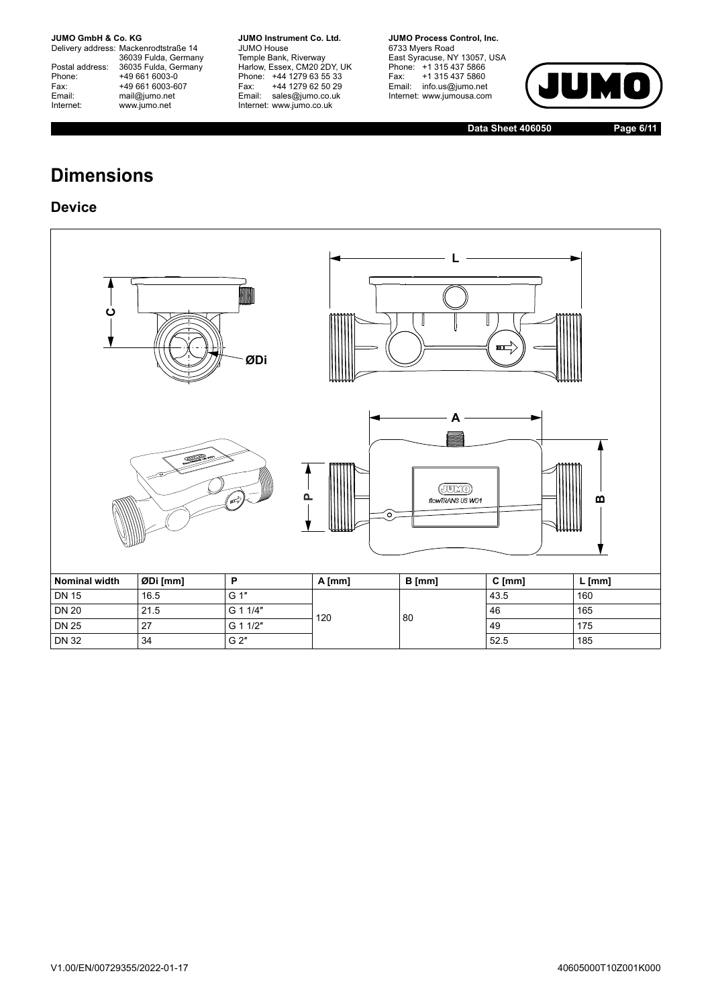Delivery address: Mackenrodtstraße 14 36039 Fulda, Germany<br>Postal address: 36035 Fulda, Germany Phone: +49 661 6003-0<br>
Fax: +49 661 6003-6<br>
Email: mail@jumo.net +49 661 6003-607 Email: mail@jumo.net<br>Internet: www.iumo.net www.jumo.net

**JUMO Instrument Co. Ltd.** JUMO House Temple Bank, Riverway<br>Harlow, Essex, CM20 2DY, UK Phone: +44 1279 63 55 33<br>Fax: +44 1279 62 50 29 +44 1279 62 50 29 Email: sales@jumo.co.uk Internet: www.jumo.co.uk

**JUMO Process Control, Inc.** 6733 Myers Road East Syracuse, NY 13057, USA<br>Phone: +1 315 437 5866<br>Fax: +1 315 437 5860 Email: info.us@jumo.net Internet: www.jumousa.com



**Data Sheet 406050 Page 6/11**

## **Dimensions**

### **Device**

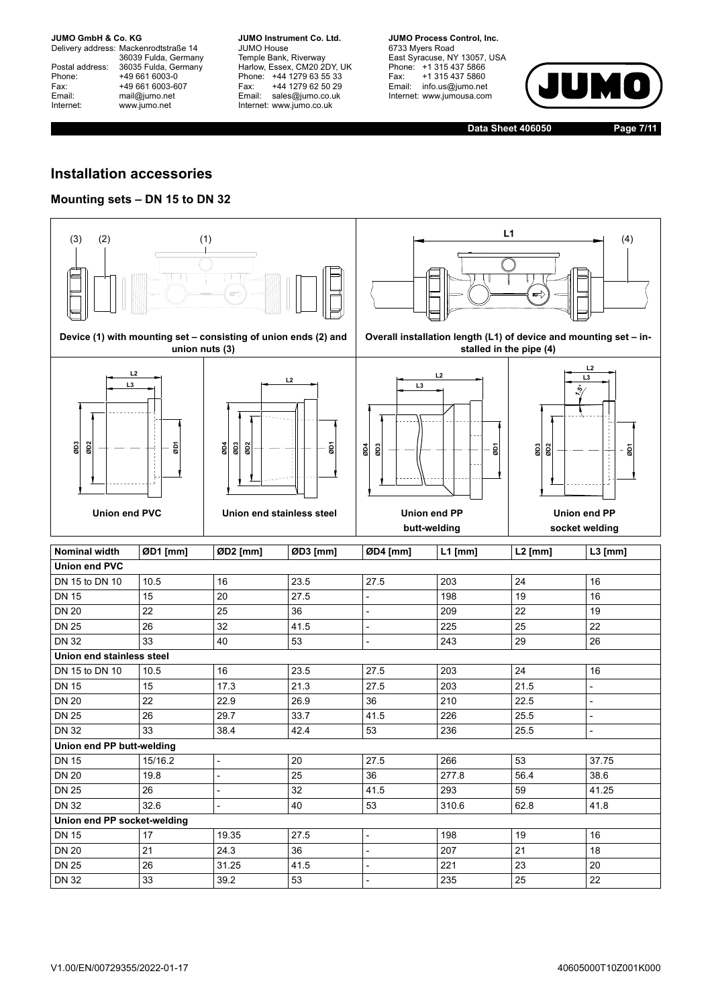Delivery address: Mackenrodtstraße 14 36039 Fulda, Germany<br>Postal address: 36035 Fulda, Germany Phone: +49 661 6003-0<br>
Fax: +49 661 6003-6<br>
Email: mail@jumo.net +49 661 6003-607 Email: mail@jumo.net<br>Internet: www.iumo.net www.jumo.net

**JUMO Instrument Co. Ltd.** JUMO House Temple Bank, Riverway<br>Harlow, Essex, CM20 2DY, UK Phone: +44 1279 63 55 33<br>Fax: +44 1279 62 50 29 Fax: +44 1279 62 50 29<br>Email: sales@jumo.co.uk Internet: www.jumo.co.uk

**JUMO Process Control. Inc.** 6733 Myers Road East Syracuse, NY 13057, USA<br>Phone: +1 315 437 5866<br>Fax: +1 315 437 5860 Email: info.us@jumo.net Internet: www.jumousa.com



**Data Sheet 406050 Page 7/11**

### <span id="page-6-0"></span>**Installation accessories**

#### **Mounting sets – DN 15 to DN 32**

| (3)<br>(2)<br>(1)<br>$\overline{m}$                                    |                |                                                                  | L1<br>(4)<br>甿 |                                             |                                                                   |                                                                                |                          |
|------------------------------------------------------------------------|----------------|------------------------------------------------------------------|----------------|---------------------------------------------|-------------------------------------------------------------------|--------------------------------------------------------------------------------|--------------------------|
| Device (1) with mounting set - consisting of union ends (2) and        | union nuts (3) |                                                                  |                |                                             | Overall installation length (L1) of device and mounting set - in- | stalled in the pipe (4)                                                        |                          |
| L2<br>L <sub>3</sub><br>ØD3<br>ØD <sub>2</sub><br><b>Union end PVC</b> | čØ             | L2<br><b>Ta</b><br>ØD4<br>gg<br>ØD2<br>Union end stainless steel |                | L2<br>L3<br>ØD3<br>ØD4<br>ă<br>Union end PP |                                                                   | L <sub>2</sub><br>L3<br>Ÿ<br>Ø3<br>ØD <sub>2</sub><br>ă<br><b>Union end PP</b> |                          |
|                                                                        |                |                                                                  |                | butt-welding                                |                                                                   | socket welding                                                                 |                          |
| <b>Nominal width</b>                                                   | ØD1 [mm]       | ØD2 [mm]                                                         | ØD3 [mm]       | ØD4 [mm]                                    | $L1$ [mm]                                                         | $L2$ [mm]                                                                      | $L3$ [mm]                |
| <b>Union end PVC</b>                                                   |                |                                                                  |                |                                             |                                                                   |                                                                                |                          |
| DN 15 to DN 10                                                         | 10.5           | 16                                                               | 23.5           | 27.5                                        | 203                                                               | 24                                                                             | 16                       |
| <b>DN 15</b>                                                           | 15             | 20                                                               | 27.5           | $\overline{a}$                              | 198                                                               | 19                                                                             | 16                       |
| <b>DN 20</b><br><b>DN 25</b>                                           | 22             | 25                                                               | 36             | $\overline{a}$                              | 209                                                               | 22                                                                             | 19                       |
| <b>DN 32</b>                                                           | 26<br>33       | 32<br>40                                                         | 41.5<br>53     | $\overline{a}$<br>$\overline{\phantom{0}}$  | 225<br>243                                                        | 25<br>29                                                                       | 22<br>26                 |
| Union end stainless steel                                              |                |                                                                  |                |                                             |                                                                   |                                                                                |                          |
| DN 15 to DN 10                                                         | 10.5           | 16                                                               | 23.5           | 27.5                                        | 203                                                               | 24                                                                             | 16                       |
| <b>DN 15</b>                                                           | 15             | 17.3                                                             | 21.3           | 27.5                                        | 203                                                               | 21.5                                                                           | $\overline{\phantom{a}}$ |
| <b>DN 20</b>                                                           | 22             | 22.9                                                             | 26.9           | 36                                          | 210                                                               | 22.5                                                                           | $\overline{\phantom{a}}$ |
| <b>DN 25</b>                                                           | 26             | 29.7                                                             | 33.7           | 41.5                                        | 226                                                               | 25.5                                                                           | $\overline{\phantom{a}}$ |
| <b>DN 32</b>                                                           | 33             | 38.4                                                             | 42.4           | 53                                          | 236                                                               | 25.5                                                                           | $\overline{\phantom{a}}$ |
| Union end PP butt-welding                                              |                |                                                                  |                |                                             |                                                                   |                                                                                |                          |
| <b>DN 15</b>                                                           | 15/16.2        | $\overline{\phantom{0}}$                                         | 20             | 27.5                                        | 266                                                               | 53                                                                             | 37.75                    |
| <b>DN 20</b>                                                           | 19.8           | $\overline{\phantom{0}}$                                         | 25             | 36                                          | 277.8                                                             | 56.4                                                                           | 38.6                     |
| <b>DN 25</b>                                                           | 26             | $\overline{\phantom{0}}$                                         | 32             | 41.5                                        | 293                                                               | 59                                                                             | 41.25                    |
| <b>DN 32</b>                                                           | 32.6           | $\overline{\phantom{0}}$                                         | 40             | 53                                          | 310.6                                                             | 62.8                                                                           | 41.8                     |
| Union end PP socket-welding                                            |                |                                                                  |                |                                             |                                                                   |                                                                                |                          |
| <b>DN 15</b>                                                           | 17             | 19.35                                                            | 27.5           |                                             | 198                                                               | 19                                                                             | 16                       |
| <b>DN 20</b>                                                           | 21             | 24.3                                                             | 36             | $\overline{\phantom{0}}$                    | 207                                                               | 21                                                                             | 18                       |
| <b>DN 25</b>                                                           | 26             | 31.25                                                            | 41.5           |                                             | 221                                                               | 23                                                                             | 20                       |
| <b>DN 32</b>                                                           | 33             | 39.2                                                             | 53             |                                             | 235                                                               | 25                                                                             | 22                       |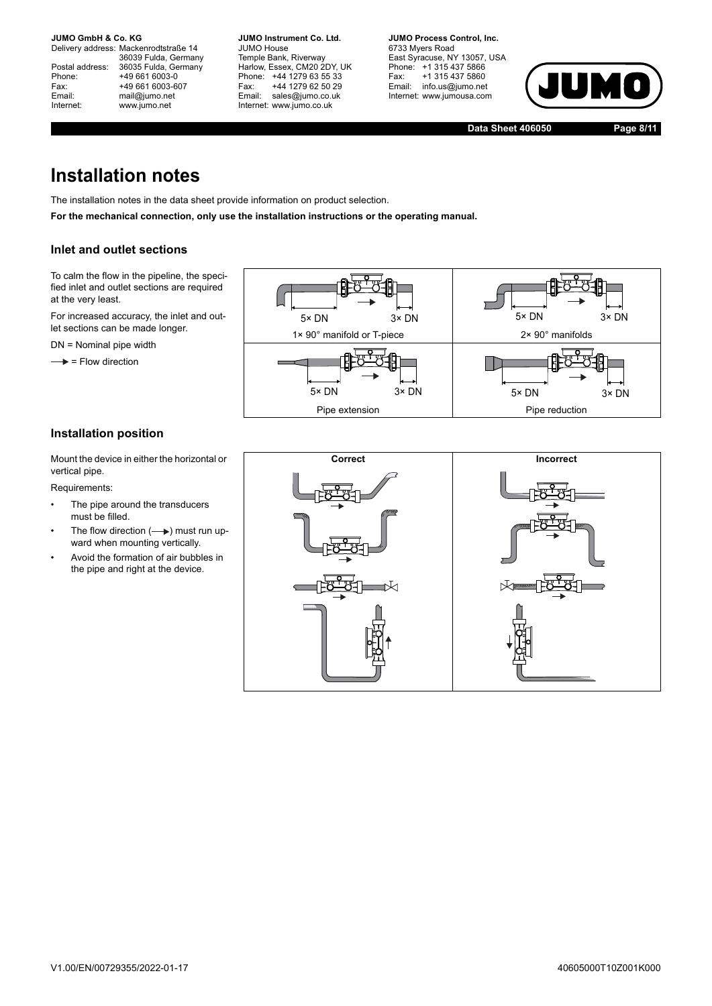Delivery address: Mackenrodtstraße 14 36039 Fulda, Germany Postal address: 36035 Fulda, Germany<br>Phone: +49 661 6003-0 Phone: +49 661 6003-0<br>
Fax: +49 661 6003-6<br>
Email: mail@jumo.net +49 661 6003-607 mail@jumo.net Internet: www.jumo.net

**JUMO Instrument Co. Ltd.** JUMO House Temple Bank, Riverway<br>Harlow, Essex, CM20 2DY, UK Phone: +44 1279 63 55 33<br>Fax: +44 1279 62 50 29 Fax: +44 1279 62 50 29<br>Email: sales@iumo.co.uk sales@jumo.co.uk Internet: www.jumo.co.uk

**JUMO Process Control, Inc.** 6733 Myers Road East Syracuse, NY 13057, USA Phone: +1 315 437 5866<br>Fax: +1 315 437 5860 Fax: +1 315 437 5860<br>Email: info.us@jumo.net info.us@jumo.net Internet: www.jumousa.com



**Data Sheet 406050 Page 8/11**

## **Installation notes**

The installation notes in the data sheet provide information on product selection.

**For the mechanical connection, only use the installation instructions or the operating manual.**

#### **Inlet and outlet sections**

To calm the flow in the pipeline, the specified inlet and outlet sections are required at the very least.

For increased accuracy, the inlet and outlet sections can be made longer.

DN = Nominal pipe width

 $\rightarrow$  = Flow direction



#### **Installation position**

Mount the device in either the horizontal or vertical pipe.

Requirements:

- The pipe around the transducers must be filled.
- The flow direction  $(\longrightarrow)$  must run upward when mounting vertically.
- Avoid the formation of air bubbles in the pipe and right at the device.

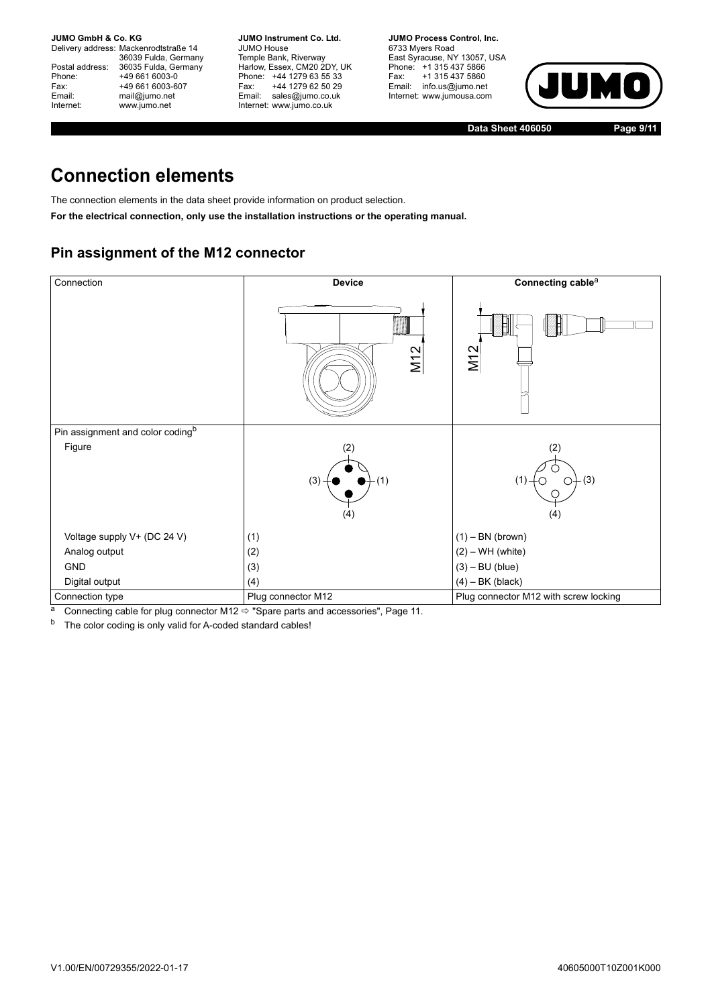Delivery address: Mackenrodtstraße 14 36039 Fulda, Germany<br>Postal address: 36035 Fulda, Germany Phone: +49 661 6003-0<br>
Fax: +49 661 6003-6<br>
Email: mail@jumo.net +49 661 6003-607 mail@jumo.net Internet: www.jumo.net

**JUMO Instrument Co. Ltd.** JUMO House Temple Bank, Riverway<br>Harlow, Essex, CM20 2DY, UK Phone: +44 1279 63 55 33<br>Fax: +44 1279 62 50 29 +44 1279 62 50 29 Email: sales@jumo.co.uk Internet: www.jumo.co.uk

**JUMO Process Control, Inc.** 6733 Myers Road East Syracuse, NY 13057, USA Phone: +1 315 437 5866<br>Fax: +1 315 437 5860 Email: info.us@jumo.net Internet: www.jumousa.com



**Data Sheet 406050 Page 9/11**

## **Connection elements**

The connection elements in the data sheet provide information on product selection.

**For the electrical connection, only use the installation instructions or the operating manual.**

## <span id="page-8-0"></span>**Pin assignment of the M12 connector**

| Connection                       | <b>Device</b>      | Connecting cable <sup>a</sup>         |  |  |  |
|----------------------------------|--------------------|---------------------------------------|--|--|--|
|                                  | M12                | 閄<br>M12                              |  |  |  |
| Pin assignment and color codingb |                    |                                       |  |  |  |
| Figure                           | (2)                | (2)                                   |  |  |  |
|                                  | (3)<br>(1)<br>(4)  | $-(3)$<br>(1)<br>(4)                  |  |  |  |
| Voltage supply V+ (DC 24 V)      | (1)                | $(1) - BN$ (brown)                    |  |  |  |
| Analog output                    | (2)                | $(2) - WH$ (white)                    |  |  |  |
| <b>GND</b>                       | (3)                | $(3) - BU$ (blue)                     |  |  |  |
| Digital output                   | (4)                | $(4)$ – BK (black)                    |  |  |  |
| Connection type                  | Plug connector M12 | Plug connector M12 with screw locking |  |  |  |

a Connecting cable for plug connector M12  $\Rightarrow$  "[Spare parts and accessories](#page-10-0)", Page [11.](#page-10-0)

The color coding is only valid for A-coded standard cables!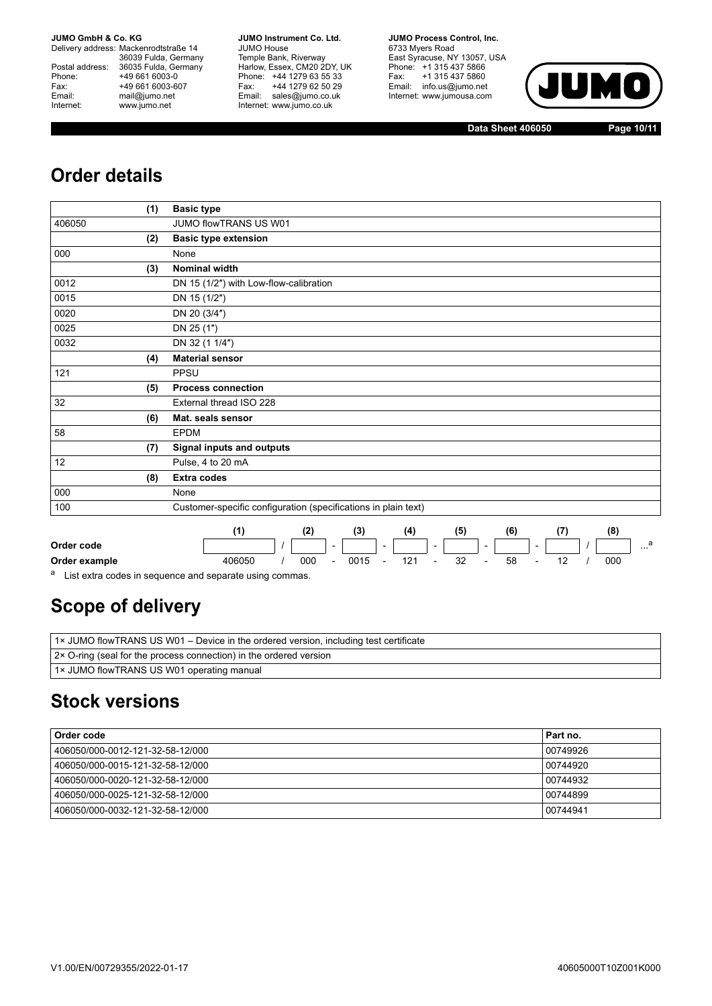Delivery address: Mackenrodtstraße 14 36039 Fulda, Germany<br>Postal address: 36035 Fulda, Germany Phone: +49 661 6003-0<br>
Fax: +49 661 6003-6<br>
Email: mail@jumo.net +49 661 6003-607 Email: mail@jumo.net<br>Internet: www.iumo.net www.jumo.net

**JUMO Instrument Co. Ltd.** JUMO House Temple Bank, Riverway<br>Harlow, Essex, CM20 2DY, UK Phone: +44 1279 63 55 33<br>Fax: +44 1279 62 50 29 +44 1279 62 50 29 Email: sales@jumo.co.uk Internet: www.jumo.co.uk

**JUMO Process Control, Inc.** 6733 Myers Road East Syracuse, NY 13057, USA<br>Phone: +1 315 437 5866<br>Fax: +1 315 437 5860 Email: info.us@jumo.net Internet: www.jumousa.com



**Data Sheet 406050 Page 10/11**

## **Order details**

|        | (1) | <b>Basic type</b>                                              |     |     |     |     |     |     |     |  |
|--------|-----|----------------------------------------------------------------|-----|-----|-----|-----|-----|-----|-----|--|
| 406050 |     | JUMO flowTRANS US W01                                          |     |     |     |     |     |     |     |  |
|        | (2) | <b>Basic type extension</b>                                    |     |     |     |     |     |     |     |  |
| 000    |     | None                                                           |     |     |     |     |     |     |     |  |
|        | (3) | <b>Nominal width</b>                                           |     |     |     |     |     |     |     |  |
| 0012   |     | DN 15 (1/2") with Low-flow-calibration                         |     |     |     |     |     |     |     |  |
| 0015   |     | DN 15 (1/2")                                                   |     |     |     |     |     |     |     |  |
| 0020   |     | DN 20 (3/4")                                                   |     |     |     |     |     |     |     |  |
| 0025   |     | DN 25 (1")                                                     |     |     |     |     |     |     |     |  |
| 0032   |     | DN 32 (1 1/4")                                                 |     |     |     |     |     |     |     |  |
|        | (4) | <b>Material sensor</b>                                         |     |     |     |     |     |     |     |  |
| 121    |     | PPSU                                                           |     |     |     |     |     |     |     |  |
|        | (5) | <b>Process connection</b>                                      |     |     |     |     |     |     |     |  |
| 32     |     | External thread ISO 228                                        |     |     |     |     |     |     |     |  |
|        | (6) | Mat. seals sensor                                              |     |     |     |     |     |     |     |  |
| 58     |     | <b>EPDM</b>                                                    |     |     |     |     |     |     |     |  |
|        | (7) | Signal inputs and outputs                                      |     |     |     |     |     |     |     |  |
| 12     |     | Pulse, 4 to 20 mA                                              |     |     |     |     |     |     |     |  |
|        | (8) | <b>Extra codes</b>                                             |     |     |     |     |     |     |     |  |
| 000    |     | None                                                           |     |     |     |     |     |     |     |  |
| 100    |     | Customer-specific configuration (specifications in plain text) |     |     |     |     |     |     |     |  |
|        |     | (1)                                                            | (2) | (3) | (4) | (5) | (6) | (7) | (8) |  |

## **Order example**

|               |        |     |                          |      |        | (4) |                          |         |                          | 61 |                          |  |     |                        |
|---------------|--------|-----|--------------------------|------|--------|-----|--------------------------|---------|--------------------------|----|--------------------------|--|-----|------------------------|
| Order code    |        |     | $\overline{\phantom{a}}$ |      | $\sim$ |     |                          |         | $\overline{\phantom{a}}$ |    | $\overline{\phantom{0}}$ |  |     | $\sqrt{2}$<br>$\cdots$ |
| Order example | 406050 | 000 | $\overline{\phantom{0}}$ | 0015 |        | 121 | $\overline{\phantom{0}}$ | າ<br>∠ت | $\overline{\phantom{a}}$ | 58 | $\overline{\phantom{0}}$ |  | 000 |                        |

a List extra codes in sequence and separate using commas.

## **Scope of delivery**

| 1× JUMO flowTRANS US W01 – Device in the ordered version, including test certificate |
|--------------------------------------------------------------------------------------|
| $2 \times$ O-ring (seal for the process connection) in the ordered version           |
| 1× JUMO flowTRANS US W01 operating manual                                            |

## **Stock versions**

| Order code                       | Part no. |
|----------------------------------|----------|
| 406050/000-0012-121-32-58-12/000 | 00749926 |
| 406050/000-0015-121-32-58-12/000 | 00744920 |
| 406050/000-0020-121-32-58-12/000 | 00744932 |
| 406050/000-0025-121-32-58-12/000 | 00744899 |
| 406050/000-0032-121-32-58-12/000 | 00744941 |